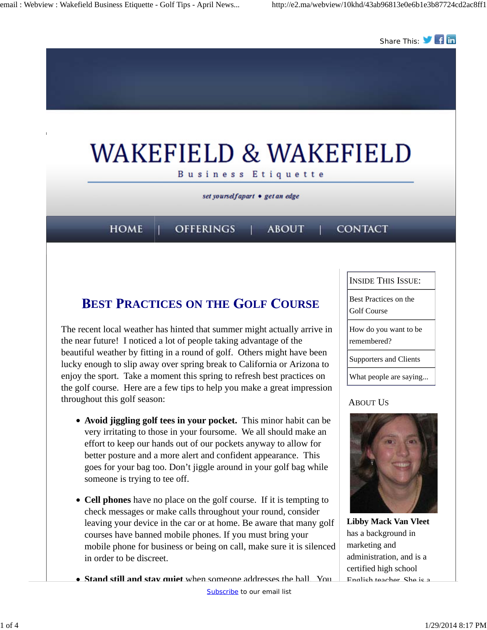

### **EST RACTICES ON THE OLF OURSE**

The recent local weather has hinted that summer might actually arrive in the near future! I noticed a lot of people taking advantage of the beautiful weather by fitting in a round of golf. Others might have been lucky enough to slip away over spring break to California or Arizona to enjoy the sport. Take a moment this spring to refresh best practices on the golf course. Here are a few tips to help you make a great impression throughout this golf season:

- **Avoid jiggling golf tees in your pocket.** This minor habit can be very irritating to those in your foursome. We all should make an effort to keep our hands out of our pockets anyway to allow for better posture and a more alert and confident appearance. This goes for your bag too. Don't jiggle around in your golf bag while someone is trying to tee off.
- **Cell phones** have no place on the golf course. If it is tempting to check messages or make calls throughout your round, consider leaving your device in the car or at home. Be aware that many golf courses have banned mobile phones. If you must bring your mobile phone for business or being on call, make sure it is silenced in order to be discreet.

**Stand still and stay quiet** when someone addresses the ball. You

Subscribe to our email list

INSIDE THIS ISSUE:

Best Practices on the

Golf Course

How do you want to be remembered?

Supporters and Clients

What people are saying...

#### ABOUT US



**Libby Mack Van Vleet** has a background in marketing and administration, and is a certified high school English teacher. She is a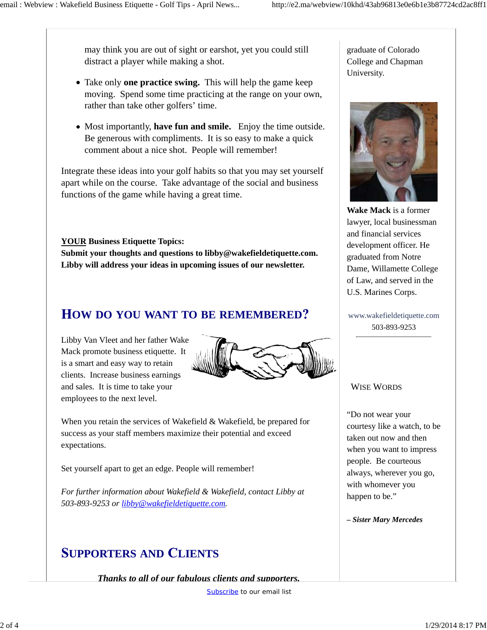may think you are out of sight or earshot, yet you could still distract a player while making a shot.

- Take only **one practice swing.** This will help the game keep moving. Spend some time practicing at the range on your own, rather than take other golfers' time.
- Most importantly, **have fun and smile.** Enjoy the time outside. Be generous with compliments. It is so easy to make a quick comment about a nice shot. People will remember!

Integrate these ideas into your golf habits so that you may set yourself apart while on the course. Take advantage of the social and business functions of the game while having a great time.

**YOUR Business Etiquette Topics:**

**Submit your thoughts and questions to libby@wakefieldetiquette.com. Libby will address your ideas in upcoming issues of our newsletter.**

### **OW DO YOU WANT TO BE REMEMBERED**

Libby Van Vleet and her father Wake Mack promote business etiquette. It is a smart and easy way to retain clients. Increase business earnings and sales. It is time to take your employees to the next level.



When you retain the services of Wakefield & Wakefield, be prepared for success as your staff members maximize their potential and exceed expectations.

Set yourself apart to get an edge. People will remember!

*For further information about Wakefield & Wakefield, contact Libby at 503-893-9253 or libby@wakefieldetiquette.com.*

# **UPPORTERS AND LIENTS**

*Thanks to all of our fabulous clients and supporters.*

graduate of Colorado College and Chapman University.



**Wake Mack** is a former lawyer, local businessman and financial services development officer. He graduated from Notre Dame, Willamette College of Law, and served in the U.S. Marines Corps.

www.wakefieldetiquette.com 503-893-9253

#### WISE WORDS

"Do not wear your courtesy like a watch, to be taken out now and then when you want to impress people. Be courteous always, wherever you go, with whomever you happen to be."

*– Sister Mary Mercedes*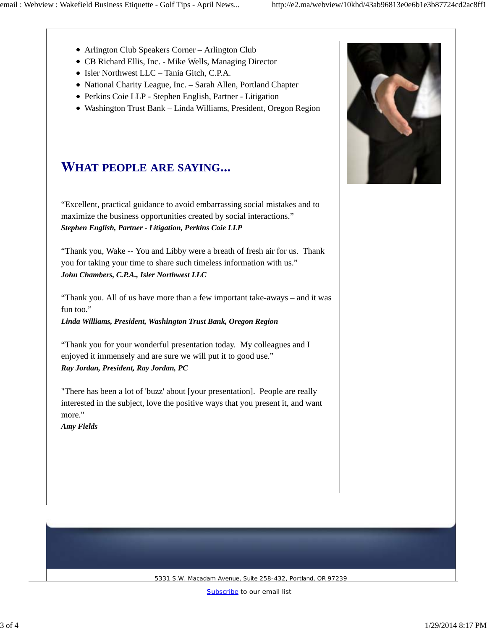- Arlington Club Speakers Corner Arlington Club
- CB Richard Ellis, Inc. Mike Wells, Managing Director
- Isler Northwest LLC Tania Gitch, C.P.A.
- National Charity League, Inc. Sarah Allen, Portland Chapter
- Perkins Coie LLP Stephen English, Partner Litigation
- Washington Trust Bank Linda Williams, President, Oregon Region

# **HAT PEOPLE ARE SAYING**

"Excellent, practical guidance to avoid embarrassing social mistakes and to maximize the business opportunities created by social interactions." *Stephen English, Partner - Litigation, Perkins Coie LLP*

"Thank you, Wake -- You and Libby were a breath of fresh air for us. Thank you for taking your time to share such timeless information with us." *John Chambers, C.P.A., Isler Northwest LLC*

"Thank you. All of us have more than a few important take-aways – and it was fun too."

*Linda Williams, President, Washington Trust Bank, Oregon Region*

"Thank you for your wonderful presentation today. My colleagues and I enjoyed it immensely and are sure we will put it to good use." *Ray Jordan, President, Ray Jordan, PC*

"There has been a lot of 'buzz' about [your presentation]. People are really interested in the subject, love the positive ways that you present it, and want more."

*Amy Fields*



5331 S.W. Macadam Avenue, Suite 258-432, Portland, OR 97239

Subscribe to our email list